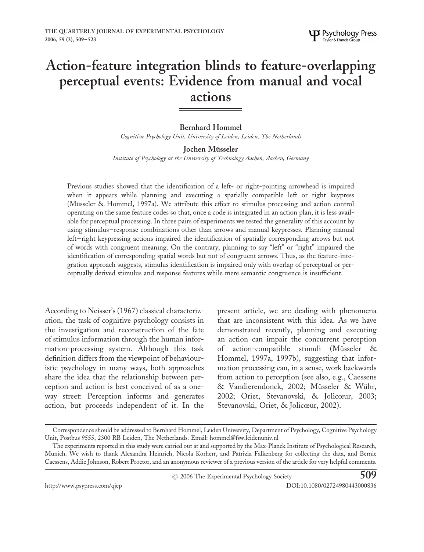# Action-feature integration blinds to feature-overlapping perceptual events: Evidence from manual and vocal actions

Bernhard Hommel Cognitive Psychology Unit, University of Leiden, Leiden, The Netherlands

Jochen Müsseler Institute of Psychology at the University of Technology Aachen, Aachen, Germany

Previous studies showed that the identification of a left- or right-pointing arrowhead is impaired when it appears while planning and executing a spatially compatible left or right keypress (Müsseler & Hommel, 1997a). We attribute this effect to stimulus processing and action control operating on the same feature codes so that, once a code is integrated in an action plan, it is less available for perceptual processing. In three pairs of experiments we tested the generality of this account by using stimulus – response combinations other than arrows and manual keypresses. Planning manual left – right keypressing actions impaired the identification of spatially corresponding arrows but not of words with congruent meaning. On the contrary, planning to say "left" or "right" impaired the identification of corresponding spatial words but not of congruent arrows. Thus, as the feature-integration approach suggests, stimulus identification is impaired only with overlap of perceptual or perceptually derived stimulus and response features while mere semantic congruence is insufficient.

According to Neisser's (1967) classical characterization, the task of cognitive psychology consists in the investigation and reconstruction of the fate of stimulus information through the human information-processing system. Although this task definition differs from the viewpoint of behaviouristic psychology in many ways, both approaches share the idea that the relationship between perception and action is best conceived of as a oneway street: Perception informs and generates action, but proceeds independent of it. In the

present article, we are dealing with phenomena that are inconsistent with this idea. As we have demonstrated recently, planning and executing an action can impair the concurrent perception of action-compatible stimuli (Müsseler & Hommel, 1997a, 1997b), suggesting that information processing can, in a sense, work backwards from action to perception (see also, e.g., Caessens & Vandierendonck, 2002; Müsseler & Wühr, 2002; Oriet, Stevanovski, & Jolicœur, 2003; Stevanovski, Oriet, & Jolicœur, 2002).

Correspondence should be addressed to Bernhard Hommel, Leiden University, Department of Psychology, Cognitive Psychology Unit, Postbus 9555, 2300 RB Leiden, The Netherlands. Email: hommel@fsw.leidenuniv.nl

The experiments reported in this study were carried out at and supported by the Max-Planck Institute of Psychological Research, Munich. We wish to thank Alexandra Heinrich, Nicola Korherr, and Patrizia Falkenberg for collecting the data, and Bernie Caessens, Addie Johnson, Robert Proctor, and an anonymous reviewer of a previous version of the article for very helpful comments.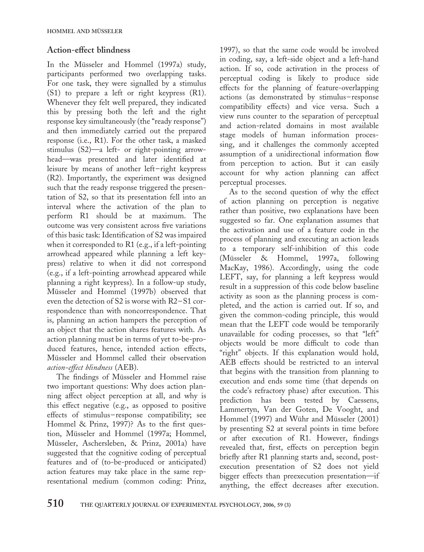# Action-effect blindness

In the Müsseler and Hommel (1997a) study, participants performed two overlapping tasks. For one task, they were signalled by a stimulus (S1) to prepare a left or right keypress (R1). Whenever they felt well prepared, they indicated this by pressing both the left and the right response key simultaneously (the "ready response") and then immediately carried out the prepared response (i.e., R1). For the other task, a masked stimulus (S2)—a left- or right-pointing arrowhead—was presented and later identified at leisure by means of another left-right keypress (R2). Importantly, the experiment was designed such that the ready response triggered the presentation of S2, so that its presentation fell into an interval where the activation of the plan to perform R1 should be at maximum. The outcome was very consistent across five variations of this basic task: Identification of S2 was impaired when it corresponded to R1 (e.g., if a left-pointing arrowhead appeared while planning a left keypress) relative to when it did not correspond (e.g., if a left-pointing arrowhead appeared while planning a right keypress). In a follow-up study, Müsseler and Hommel (1997b) observed that even the detection of S2 is worse with R2 –S1 correspondence than with noncorrespondence. That is, planning an action hampers the perception of an object that the action shares features with. As action planning must be in terms of yet to-be-produced features, hence, intended action effects, Müsseler and Hommel called their observation action-effect blindness (AEB).

The findings of Müsseler and Hommel raise two important questions: Why does action planning affect object perception at all, and why is this effect negative (e.g., as opposed to positive effects of stimulus – response compatibility; see Hommel & Prinz, 1997)? As to the first question, Müsseler and Hommel (1997a; Hommel, Müsseler, Aschersleben, & Prinz, 2001a) have suggested that the cognitive coding of perceptual features and of (to-be-produced or anticipated) action features may take place in the same representational medium (common coding: Prinz,

1997), so that the same code would be involved in coding, say, a left-side object and a left-hand action. If so, code activation in the process of perceptual coding is likely to produce side effects for the planning of feature-overlapping actions (as demonstrated by stimulus – response compatibility effects) and vice versa. Such a view runs counter to the separation of perceptual and action-related domains in most available stage models of human information processing, and it challenges the commonly accepted assumption of a unidirectional information flow from perception to action. But it can easily account for why action planning can affect perceptual processes.

As to the second question of why the effect of action planning on perception is negative rather than positive, two explanations have been suggested so far. One explanation assumes that the activation and use of a feature code in the process of planning and executing an action leads to a temporary self-inhibition of this code (Müsseler & Hommel, 1997a, following MacKay, 1986). Accordingly, using the code LEFT, say, for planning a left keypress would result in a suppression of this code below baseline activity as soon as the planning process is completed, and the action is carried out. If so, and given the common-coding principle, this would mean that the LEFT code would be temporarily unavailable for coding processes, so that "left" objects would be more difficult to code than "right" objects. If this explanation would hold, AEB effects should be restricted to an interval that begins with the transition from planning to execution and ends some time (that depends on the code's refractory phase) after execution. This prediction has been tested by Caessens, Lammertyn, Van der Goten, De Vooght, and Hommel (1997) and Wühr and Müsseler (2001) by presenting S2 at several points in time before or after execution of R1. However, findings revealed that, first, effects on perception begin briefly after R1 planning starts and, second, postexecution presentation of S2 does not yield bigger effects than preexecution presentation—if anything, the effect decreases after execution.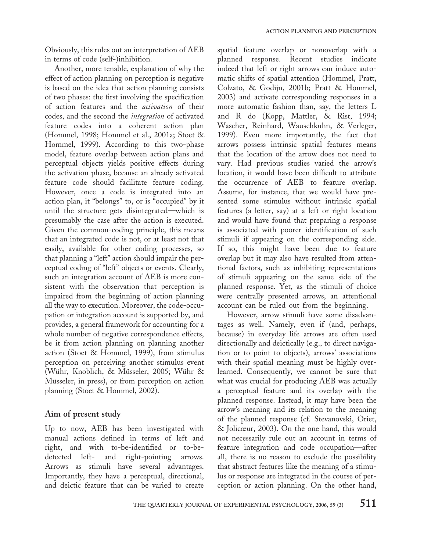Obviously, this rules out an interpretation of AEB in terms of code (self-)inhibition.

Another, more tenable, explanation of why the effect of action planning on perception is negative is based on the idea that action planning consists of two phases: the first involving the specification of action features and the activation of their codes, and the second the integration of activated feature codes into a coherent action plan (Hommel, 1998; Hommel et al., 2001a; Stoet & Hommel, 1999). According to this two-phase model, feature overlap between action plans and perceptual objects yields positive effects during the activation phase, because an already activated feature code should facilitate feature coding. However, once a code is integrated into an action plan, it "belongs" to, or is "occupied" by it until the structure gets disintegrated—which is presumably the case after the action is executed. Given the common-coding principle, this means that an integrated code is not, or at least not that easily, available for other coding processes, so that planning a "left" action should impair the perceptual coding of "left" objects or events. Clearly, such an integration account of AEB is more consistent with the observation that perception is impaired from the beginning of action planning all the way to execution. Moreover, the code-occupation or integration account is supported by, and provides, a general framework for accounting for a whole number of negative correspondence effects, be it from action planning on planning another action (Stoet & Hommel, 1999), from stimulus perception on perceiving another stimulus event (Wühr, Knoblich, & Müsseler, 2005; Wühr & Müsseler, in press), or from perception on action planning (Stoet & Hommel, 2002).

#### Aim of present study

Up to now, AEB has been investigated with manual actions defined in terms of left and right, and with to-be-identified or to-bedetected left- and right-pointing arrows. Arrows as stimuli have several advantages. Importantly, they have a perceptual, directional, and deictic feature that can be varied to create

spatial feature overlap or nonoverlap with a planned response. Recent studies indicate indeed that left or right arrows can induce automatic shifts of spatial attention (Hommel, Pratt, Colzato, & Godijn, 2001b; Pratt & Hommel, 2003) and activate corresponding responses in a more automatic fashion than, say, the letters L and R do (Kopp, Mattler, & Rist, 1994; Wascher, Reinhard, Wauschkuhn, & Verleger, 1999). Even more importantly, the fact that arrows possess intrinsic spatial features means that the location of the arrow does not need to vary. Had previous studies varied the arrow's location, it would have been difficult to attribute the occurrence of AEB to feature overlap. Assume, for instance, that we would have presented some stimulus without intrinsic spatial features (a letter, say) at a left or right location and would have found that preparing a response is associated with poorer identification of such stimuli if appearing on the corresponding side. If so, this might have been due to feature overlap but it may also have resulted from attentional factors, such as inhibiting representations of stimuli appearing on the same side of the planned response. Yet, as the stimuli of choice were centrally presented arrows, an attentional account can be ruled out from the beginning.

However, arrow stimuli have some disadvantages as well. Namely, even if (and, perhaps, because) in everyday life arrows are often used directionally and deictically (e.g., to direct navigation or to point to objects), arrows' associations with their spatial meaning must be highly overlearned. Consequently, we cannot be sure that what was crucial for producing AEB was actually a perceptual feature and its overlap with the planned response. Instead, it may have been the arrow's meaning and its relation to the meaning of the planned response (cf. Stevanovski, Oriet, & Jolicœur, 2003). On the one hand, this would not necessarily rule out an account in terms of feature integration and code occupation—after all, there is no reason to exclude the possibility that abstract features like the meaning of a stimulus or response are integrated in the course of perception or action planning. On the other hand,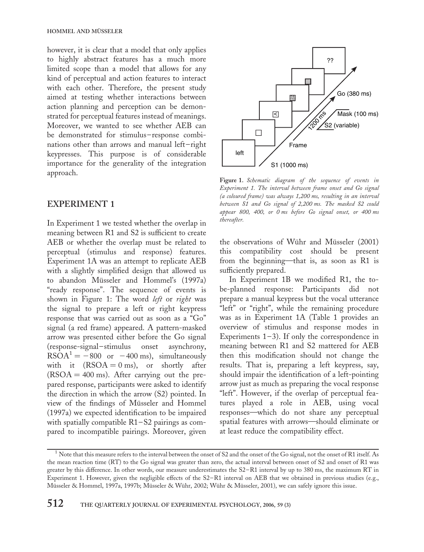however, it is clear that a model that only applies to highly abstract features has a much more limited scope than a model that allows for any kind of perceptual and action features to interact with each other. Therefore, the present study aimed at testing whether interactions between action planning and perception can be demonstrated for perceptual features instead of meanings. Moreover, we wanted to see whether AEB can be demonstrated for stimulus – response combinations other than arrows and manual left – right keypresses. This purpose is of considerable importance for the generality of the integration approach.

### EXPERIMENT 1

In Experiment 1 we tested whether the overlap in meaning between R1 and S2 is sufficient to create AEB or whether the overlap must be related to perceptual (stimulus and response) features. Experiment 1A was an attempt to replicate AEB with a slightly simplified design that allowed us to abandon Müsseler and Hommel's (1997a) "ready response". The sequence of events is shown in Figure 1: The word *left* or *right* was the signal to prepare a left or right keypress response that was carried out as soon as a "Go" signal (a red frame) appeared. A pattern-masked arrow was presented either before the Go signal (response-signal – stimulus onset asynchrony,  $RSOA<sup>1</sup> = -800$  or  $-400$  ms), simultaneously with it  $(RSOA = 0 \text{ ms})$ , or shortly after  $(RSOA = 400 \text{ ms})$ . After carrying out the prepared response, participants were asked to identify the direction in which the arrow (S2) pointed. In view of the findings of Müsseler and Hommel (1997a) we expected identification to be impaired with spatially compatible R1-S2 pairings as compared to incompatible pairings. Moreover, given



Figure 1. Schematic diagram of the sequence of events in Experiment 1. The interval between frame onset and Go signal (a coloured frame) was always 1,200 ms, resulting in an interval between S1 and Go signal of 2,200 ms. The masked S2 could appear 800, 400, or 0 ms before Go signal onset, or 400 ms thereafter.

the observations of Wühr and Müsseler (2001) this compatibility cost should be present from the beginning—that is, as soon as R1 is sufficiently prepared.

In Experiment 1B we modified R1, the tobe-planned response: Participants did not prepare a manual keypress but the vocal utterance "left" or "right", while the remaining procedure was as in Experiment 1A (Table 1 provides an overview of stimulus and response modes in Experiments  $1-3$ ). If only the correspondence in meaning between R1 and S2 mattered for AEB then this modification should not change the results. That is, preparing a left keypress, say, should impair the identification of a left-pointing arrow just as much as preparing the vocal response "left". However, if the overlap of perceptual features played a role in AEB, using vocal responses—which do not share any perceptual spatial features with arrows—should eliminate or at least reduce the compatibility effect.

 $1$  Note that this measure refers to the interval between the onset of S2 and the onset of the Go signal, not the onset of R1 itself. As the mean reaction time (RT) to the Go signal was greater than zero, the actual interval between onset of S2 and onset of R1 was greater by this difference. In other words, our measure underestimates the S2–R1 interval by up to 380 ms, the maximum RT in Experiment 1. However, given the negligible effects of the S2–R1 interval on AEB that we obtained in previous studies (e.g., Müsseler & Hommel, 1997a, 1997b; Müsseler & Wühr, 2002; Wühr & Müsseler, 2001), we can safely ignore this issue.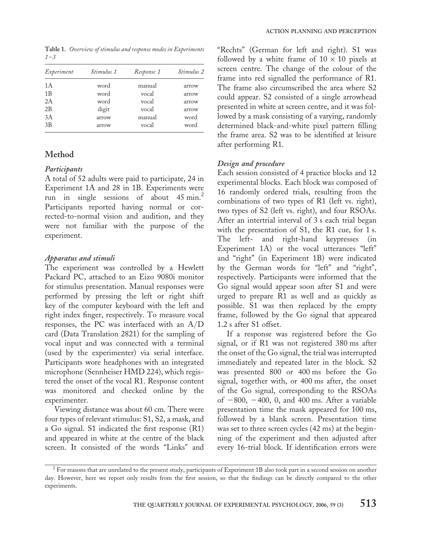Table 1. Overview of stimulus and response modes in Experiments  $1 - 3$ 

| Experiment | Stimulus 1 | Response 1 | Stimulus <sub>2</sub> |  |
|------------|------------|------------|-----------------------|--|
| 1A         | word       | manual     | arrow                 |  |
| 1B         | word       | vocal      | arrow                 |  |
| 2A         | word       | vocal      | arrow                 |  |
| 2B         | digit      | vocal      | arrow                 |  |
| 3A         | arrow      | manual     | word                  |  |
| 3B         | arrow      | vocal      | word                  |  |

### Method

#### Participants

A total of 52 adults were paid to participate, 24 in Experiment 1A and 28 in 1B. Experiments were run in single sessions of about  $45 \text{ min.}^2$ Participants reported having normal or corrected-to-normal vision and audition, and they were not familiar with the purpose of the experiment.

#### Apparatus and stimuli

The experiment was controlled by a Hewlett Packard PC, attached to an Eizo 9080i monitor for stimulus presentation. Manual responses were performed by pressing the left or right shift key of the computer keyboard with the left and right index finger, respectively. To measure vocal responses, the PC was interfaced with an A/D card (Data Translation 2821) for the sampling of vocal input and was connected with a terminal (used by the experimenter) via serial interface. Participants wore headphones with an integrated microphone (Sennheiser HMD 224), which registered the onset of the vocal R1. Response content was monitored and checked online by the experimenter.

Viewing distance was about 60 cm. There were four types of relevant stimulus: S1, S2, a mask, and a Go signal. S1 indicated the first response (R1) and appeared in white at the centre of the black screen. It consisted of the words "Links" and

"Rechts" (German for left and right). S1 was followed by a white frame of  $10 \times 10$  pixels at screen centre. The change of the colour of the frame into red signalled the performance of R1. The frame also circumscribed the area where S2 could appear. S2 consisted of a single arrowhead presented in white at screen centre, and it was followed by a mask consisting of a varying, randomly determined black-and-white pixel pattern filling the frame area. S2 was to be identified at leisure after performing R1.

#### Design and procedure

Each session consisted of 4 practice blocks and 12 experimental blocks. Each block was composed of 16 randomly ordered trials, resulting from the combinations of two types of R1 (left vs. right), two types of S2 (left vs. right), and four RSOAs. After an intertrial interval of 3 s each trial began with the presentation of S1, the R1 cue, for 1 s. The left- and right-hand keypresses (in Experiment 1A) or the vocal utterances "left" and "right" (in Experiment 1B) were indicated by the German words for "left" and "right", respectively. Participants were informed that the Go signal would appear soon after S1 and were urged to prepare R1 as well and as quickly as possible. S1 was then replaced by the empty frame, followed by the Go signal that appeared 1.2 s after S1 offset.

If a response was registered before the Go signal, or if R1 was not registered 380 ms after the onset of the Go signal, the trial was interrupted immediately and repeated later in the block. S2 was presented 800 or 400 ms before the Go signal, together with, or 400 ms after, the onset of the Go signal, corresponding to the RSOAs of  $-800$ ,  $-400$ , 0, and 400 ms. After a variable presentation time the mask appeared for 100 ms, followed by a blank screen. Presentation time was set to three screen cycles (42 ms) at the beginning of the experiment and then adjusted after every 16-trial block. If identification errors were

<sup>&</sup>lt;sup>2</sup> For reasons that are unrelated to the present study, participants of Experiment 1B also took part in a second session on another day. However, here we report only results from the first session, so that the findings can be directly compared to the other experiments.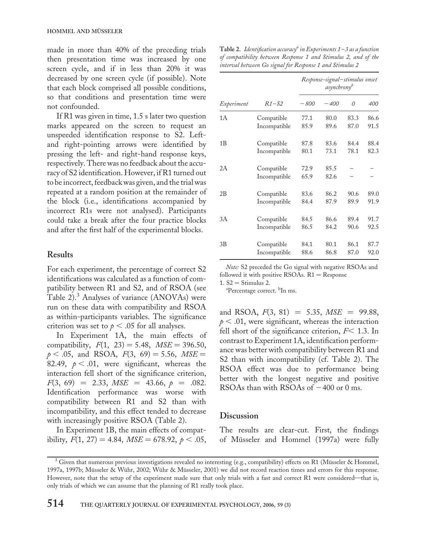made in more than 40% of the preceding trials then presentation time was increased by one screen cycle, and if in less than 20% it was decreased by one screen cycle (if possible). Note that each block comprised all possible conditions, so that conditions and presentation time were not confounded.

If R1 was given in time, 1.5 s later two question marks appeared on the screen to request an unspeeded identification response to S2. Leftand right-pointing arrows were identified by pressing the left- and right-hand response keys, respectively. There was no feedback about the accuracy of S2 identification. However, if R1 turned out to be incorrect, feedback was given, and the trial was repeated at a random position at the remainder of the block (i.e., identifications accompanied by incorrect R1s were not analysed). Participants could take a break after the four practice blocks and after the first half of the experimental blocks.

#### Results

For each experiment, the percentage of correct S2 identifications was calculated as a function of compatibility between R1 and S2, and of RSOA (see Table 2).<sup>3</sup> Analyses of variance (ANOVAs) were run on these data with compatibility and RSOA as within-participants variables. The significance criterion was set to  $p < .05$  for all analyses.

In Experiment 1A, the main effects of compatibility,  $F(1, 23) = 5.48$ ,  $MSE = 396.50$ ,  $p < .05$ , and RSOA,  $F(3, 69) = 5.56$ ,  $MSE =$ 82.49,  $p < .01$ , were significant, whereas the interaction fell short of the significance criterion,  $F(3, 69) = 2.33, MSE = 43.66, p = .082.$ Identification performance was worse with compatibility between R1 and S2 than with incompatibility, and this effect tended to decrease with increasingly positive RSOA (Table 2).

In Experiment 1B, the main effects of compatibility,  $F(1, 27) = 4.84$ ,  $MSE = 678.92$ ,  $p < .05$ ,

Table 2. Identification accuracy<sup>a</sup> in Experiments  $1-3$  as a function of compatibility between Response 1 and Stimulus 2, and of the interval between Go signal for Response 1 and Stimulus 2

|            |                            | Response-signal-stimulus onset<br>asynchrony <sup>b</sup> |              |      |            |
|------------|----------------------------|-----------------------------------------------------------|--------------|------|------------|
| Experiment | $R1-S2$                    | $-800$                                                    | $-400$       | 0    | <i>400</i> |
| 1 A        | Compatible                 | 77.1                                                      | 80.0         | 83.3 | 86.6       |
|            | Incompatible               | 85.9                                                      | 89.6         | 87.0 | 91.5       |
| 1B         | Compatible                 | 87.8                                                      | 83.6         | 84.4 | 88.4       |
|            | Incompatible               | 80.1                                                      | 73.1         | 78.1 | 82.3       |
| 2A         | Compatible<br>Incompatible | 72.9<br>65.9                                              | 85.5<br>82.6 |      |            |
| 2B         | Compatible                 | 83.6                                                      | 86.2         | 90.6 | 89.0       |
|            | Incompatible               | 84.4                                                      | 87.9         | 89.9 | 91.9       |
| 3A         | Compatible                 | 84.5                                                      | 86.6         | 89.4 | 91.7       |
|            | Incompatible               | 86.5                                                      | 84.2         | 90.6 | 92.5       |
| 3B         | Compatible                 | 84.1                                                      | 80.1         | 86.1 | 87.7       |
|            | Incompatible               | 88.6                                                      | 86.8         | 87.0 | 92.0       |

Note: S2 preceded the Go signal with negative RSOAs and followed it with positive RSOAs.  $R1 =$  Response

1.  $S2 =$  Stimulus 2.

Percentage correct. <sup>b</sup>In ms.

and RSOA,  $F(3, 81) = 5.35$ ,  $MSE = 99.88$ ,  $p < .01$ , were significant, whereas the interaction fell short of the significance criterion,  $F < 1.3$ . In contrast to Experiment 1A, identification performance was better with compatibility between R1 and S2 than with incompatibility (cf. Table 2). The RSOA effect was due to performance being better with the longest negative and positive RSOAs than with RSOAs of  $-400$  or 0 ms.

#### Discussion

The results are clear-cut. First, the findings of Müsseler and Hommel (1997a) were fully

 $3$  Given that numerous previous investigations revealed no interesting (e.g., compatibility) effects on R1 (Müsseler & Hommel, 1997a, 1997b; Müsseler & Wühr, 2002; Wühr & Müsseler, 2001) we did not record reaction times and errors for this response. However, note that the setup of the experiment made sure that only trials with a fast and correct R1 were considered—that is, only trials of which we can assume that the planning of R1 really took place.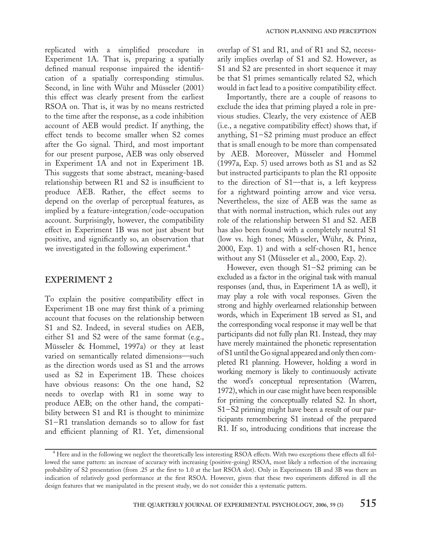replicated with a simplified procedure in Experiment 1A. That is, preparing a spatially defined manual response impaired the identification of a spatially corresponding stimulus. Second, in line with Wühr and Müsseler (2001) this effect was clearly present from the earliest RSOA on. That is, it was by no means restricted to the time after the response, as a code inhibition account of AEB would predict. If anything, the effect tends to become smaller when S2 comes after the Go signal. Third, and most important for our present purpose, AEB was only observed in Experiment 1A and not in Experiment 1B. This suggests that some abstract, meaning-based relationship between R1 and S2 is insufficient to produce AEB. Rather, the effect seems to depend on the overlap of perceptual features, as implied by a feature-integration/code-occupation account. Surprisingly, however, the compatibility effect in Experiment 1B was not just absent but positive, and significantly so, an observation that we investigated in the following experiment.<sup>4</sup>

### EXPERIMENT 2

To explain the positive compatibility effect in Experiment 1B one may first think of a priming account that focuses on the relationship between S1 and S2. Indeed, in several studies on AEB, either S1 and S2 were of the same format (e.g., Müsseler & Hommel, 1997a) or they at least varied on semantically related dimensions—such as the direction words used as S1 and the arrows used as S2 in Experiment 1B. These choices have obvious reasons: On the one hand, S2 needs to overlap with R1 in some way to produce AEB; on the other hand, the compatibility between S1 and R1 is thought to minimize S1 –R1 translation demands so to allow for fast and efficient planning of R1. Yet, dimensional

overlap of S1 and R1, and of R1 and S2, necessarily implies overlap of S1 and S2. However, as S1 and S2 are presented in short sequence it may be that S1 primes semantically related S2, which would in fact lead to a positive compatibility effect.

Importantly, there are a couple of reasons to exclude the idea that priming played a role in previous studies. Clearly, the very existence of AEB (i.e., a negative compatibility effect) shows that, if anything, S1-S2 priming must produce an effect that is small enough to be more than compensated by AEB. Moreover, Müsseler and Hommel (1997a, Exp. 5) used arrows both as S1 and as S2 but instructed participants to plan the R1 opposite to the direction of S1—that is, a left keypress for a rightward pointing arrow and vice versa. Nevertheless, the size of AEB was the same as that with normal instruction, which rules out any role of the relationship between S1 and S2. AEB has also been found with a completely neutral S1 (low vs. high tones; Müsseler, Wühr, & Prinz, 2000, Exp. 1) and with a self-chosen R1, hence without any S1 (Müsseler et al., 2000, Exp. 2).

However, even though S1–S2 priming can be excluded as a factor in the original task with manual responses (and, thus, in Experiment 1A as well), it may play a role with vocal responses. Given the strong and highly overlearned relationship between words, which in Experiment 1B served as S1, and the corresponding vocal response it may well be that participants did not fully plan R1. Instead, they may have merely maintained the phonetic representation of S1 until theGo signal appeared and only then completed R1 planning. However, holding a word in working memory is likely to continuously activate the word's conceptual representation (Warren, 1972), which in our case might have been responsible for priming the conceptually related S2. In short, S1–S2 priming might have been a result of our participants remembering S1 instead of the prepared R1. If so, introducing conditions that increase the

<sup>4</sup> Here and in the following we neglect the theoretically less interesting RSOA effects. With two exceptions these effects all followed the same pattern: an increase of accuracy with increasing (positive-going) RSOA, most likely a reflection of the increasing probability of S2 presentation (from .25 at the first to 1.0 at the last RSOA slot). Only in Experiments 1B and 3B was there an indication of relatively good performance at the first RSOA. However, given that these two experiments differed in all the design features that we manipulated in the present study, we do not consider this a systematic pattern.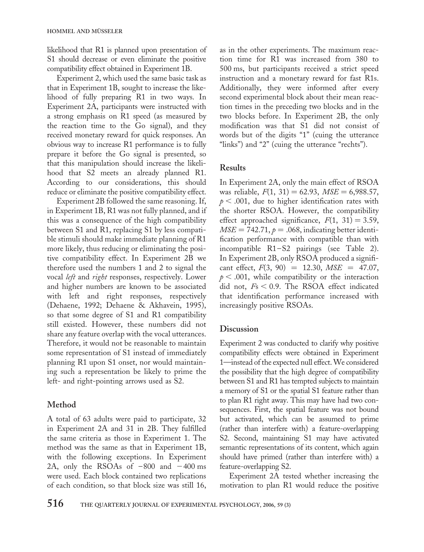likelihood that R1 is planned upon presentation of S1 should decrease or even eliminate the positive compatibility effect obtained in Experiment 1B.

Experiment 2, which used the same basic task as that in Experiment 1B, sought to increase the likelihood of fully preparing R1 in two ways. In Experiment 2A, participants were instructed with a strong emphasis on R1 speed (as measured by the reaction time to the Go signal), and they received monetary reward for quick responses. An obvious way to increase R1 performance is to fully prepare it before the Go signal is presented, so that this manipulation should increase the likelihood that S2 meets an already planned R1. According to our considerations, this should reduce or eliminate the positive compatibility effect.

Experiment 2B followed the same reasoning. If, in Experiment 1B, R1 was not fully planned, and if this was a consequence of the high compatibility between S1 and R1, replacing S1 by less compatible stimuli should make immediate planning of R1 more likely, thus reducing or eliminating the positive compatibility effect. In Experiment 2B we therefore used the numbers 1 and 2 to signal the vocal left and right responses, respectively. Lower and higher numbers are known to be associated with left and right responses, respectively (Dehaene, 1992; Dehaene & Akhavein, 1995), so that some degree of S1 and R1 compatibility still existed. However, these numbers did not share any feature overlap with the vocal utterances. Therefore, it would not be reasonable to maintain some representation of S1 instead of immediately planning R1 upon S1 onset, nor would maintaining such a representation be likely to prime the left- and right-pointing arrows used as S2.

# Method

A total of 63 adults were paid to participate, 32 in Experiment 2A and 31 in 2B. They fulfilled the same criteria as those in Experiment 1. The method was the same as that in Experiment 1B, with the following exceptions. In Experiment 2A, only the RSOAs of  $-800$  and  $-400$  ms were used. Each block contained two replications of each condition, so that block size was still 16,

as in the other experiments. The maximum reaction time for R1 was increased from 380 to 500 ms, but participants received a strict speed instruction and a monetary reward for fast R1s. Additionally, they were informed after every second experimental block about their mean reaction times in the preceding two blocks and in the two blocks before. In Experiment 2B, the only modification was that S1 did not consist of words but of the digits "1" (cuing the utterance "links") and "2" (cuing the utterance "rechts").

# Results

In Experiment 2A, only the main effect of RSOA was reliable,  $F(1, 31) = 62.93$ ,  $MSE = 6,988.57$ ,  $p < .001$ , due to higher identification rates with the shorter RSOA. However, the compatibility effect approached significance,  $F(1, 31) = 3.59$ ,  $MSE = 742.71, p = .068$ , indicating better identification performance with compatible than with incompatible R1-S2 pairings (see Table 2). In Experiment 2B, only RSOA produced a significant effect,  $F(3, 90) = 12.30, MSE = 47.07,$  $p < .001$ , while compatibility or the interaction did not,  $F_s < 0.9$ . The RSOA effect indicated that identification performance increased with increasingly positive RSOAs.

### **Discussion**

Experiment 2 was conducted to clarify why positive compatibility effects were obtained in Experiment 1—instead of the expected null effect.We considered the possibility that the high degree of compatibility between S1 and R1 has tempted subjects to maintain a memory of S1 or the spatial S1 feature rather than to plan R1 right away. This may have had two consequences. First, the spatial feature was not bound but activated, which can be assumed to prime (rather than interfere with) a feature-overlapping S2. Second, maintaining S1 may have activated semantic representations of its content, which again should have primed (rather than interfere with) a feature-overlapping S2.

Experiment 2A tested whether increasing the motivation to plan R1 would reduce the positive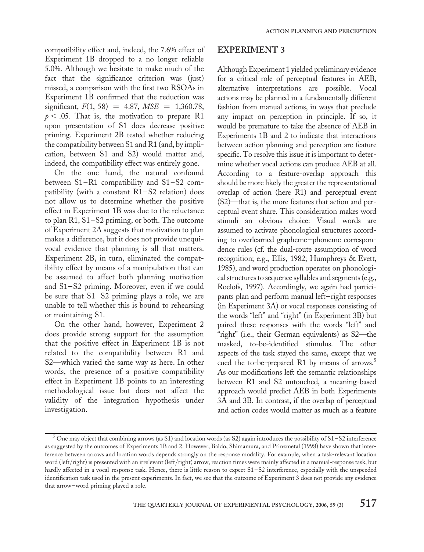compatibility effect and, indeed, the 7.6% effect of Experiment 1B dropped to a no longer reliable 5.0%. Although we hesitate to make much of the fact that the significance criterion was (just) missed, a comparison with the first two RSOAs in Experiment 1B confirmed that the reduction was significant,  $F(1, 58) = 4.87, MSE = 1,360.78,$  $p < .05$ . That is, the motivation to prepare R1 upon presentation of S1 does decrease positive priming. Experiment 2B tested whether reducing the compatibility between S1 and R1 (and, by implication, between S1 and S2) would matter and, indeed, the compatibility effect was entirely gone.

On the one hand, the natural confound between  $S1 - R1$  compatibility and  $S1 - S2$  compatibility (with a constant  $R1 - S2$  relation) does not allow us to determine whether the positive effect in Experiment 1B was due to the reluctance to plan R1, S1-S2 priming, or both. The outcome of Experiment 2A suggests that motivation to plan makes a difference, but it does not provide unequivocal evidence that planning is all that matters. Experiment 2B, in turn, eliminated the compatibility effect by means of a manipulation that can be assumed to affect both planning motivation and S1-S2 priming. Moreover, even if we could be sure that S1-S2 priming plays a role, we are unable to tell whether this is bound to rehearsing or maintaining S1.

On the other hand, however, Experiment 2 does provide strong support for the assumption that the positive effect in Experiment 1B is not related to the compatibility between R1 and S2—which varied the same way as here. In other words, the presence of a positive compatibility effect in Experiment 1B points to an interesting methodological issue but does not affect the validity of the integration hypothesis under investigation.

#### EXPERIMENT 3

Although Experiment 1 yielded preliminary evidence for a critical role of perceptual features in AEB, alternative interpretations are possible. Vocal actions may be planned in a fundamentally different fashion from manual actions, in ways that preclude any impact on perception in principle. If so, it would be premature to take the absence of AEB in Experiments 1B and 2 to indicate that interactions between action planning and perception are feature specific. To resolve this issue it is important to determine whether vocal actions can produce AEB at all. According to a feature-overlap approach this should be more likely the greater the representational overlap of action (here R1) and perceptual event (S2)—that is, the more features that action and perceptual event share. This consideration makes word stimuli an obvious choice: Visual words are assumed to activate phonological structures according to overlearned grapheme–phoneme correspondence rules (cf. the dual-route assumption of word recognition; e.g., Ellis, 1982; Humphreys & Evett, 1985), and word production operates on phonological structures to sequence syllables and segments (e.g., Roelofs, 1997). Accordingly, we again had participants plan and perform manual left–right responses (in Experiment 3A) or vocal responses consisting of the words "left" and "right" (in Experiment 3B) but paired these responses with the words "left" and "right" (i.e., their German equivalents) as S2—the masked, to-be-identified stimulus. The other aspects of the task stayed the same, except that we cued the to-be-prepared R1 by means of arrows.<sup>5</sup> As our modifications left the semantic relationships between R1 and S2 untouched, a meaning-based approach would predict AEB in both Experiments 3A and 3B. In contrast, if the overlap of perceptual and action codes would matter as much as a feature

 $5$  One may object that combining arrows (as S1) and location words (as S2) again introduces the possibility of S1–S2 interference as suggested by the outcomes of Experiments 1B and 2. However, Baldo, Shimamura, and Prinzmetal (1998) have shown that interference between arrows and location words depends strongly on the response modality. For example, when a task-relevant location word (left/right) is presented with an irrelevant (left/right) arrow, reaction times were mainly affected in a manual-response task, but hardly affected in a vocal-response task. Hence, there is little reason to expect S1 –S2 interference, especially with the unspeeded identification task used in the present experiments. In fact, we see that the outcome of Experiment 3 does not provide any evidence that arrow–word priming played a role.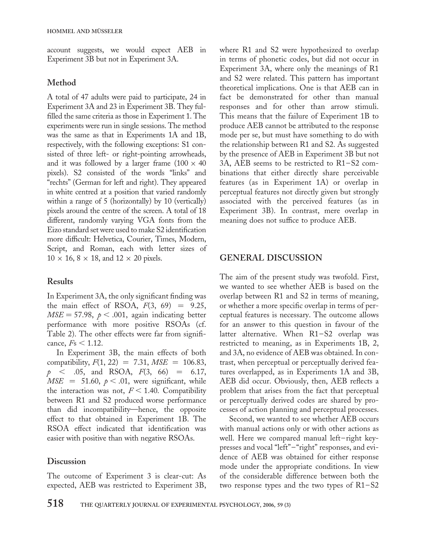account suggests, we would expect AEB in Experiment 3B but not in Experiment 3A.

# Method

A total of 47 adults were paid to participate, 24 in Experiment 3A and 23 in Experiment 3B. They fulfilled the same criteria as those in Experiment 1. The experiments were run in single sessions. The method was the same as that in Experiments 1A and 1B, respectively, with the following exceptions: S1 consisted of three left- or right-pointing arrowheads, and it was followed by a larger frame  $(100 \times 40)$ pixels). S2 consisted of the words "links" and "rechts" (German for left and right). They appeared in white centred at a position that varied randomly within a range of 5 (horizontally) by 10 (vertically) pixels around the centre of the screen. A total of 18 different, randomly varying VGA fonts from the Eizo standard set were used to make S2 identification more difficult: Helvetica, Courier, Times, Modern, Script, and Roman, each with letter sizes of  $10 \times 16$ ,  $8 \times 18$ , and  $12 \times 20$  pixels.

### Results

In Experiment 3A, the only significant finding was the main effect of RSOA,  $F(3, 69) = 9.25$ ,  $MSE = 57.98$ ,  $p < .001$ , again indicating better performance with more positive RSOAs (cf. Table 2). The other effects were far from significance,  $F_s < 1.12$ .

In Experiment 3B, the main effects of both compatibility,  $F(1, 22) = 7.31$ ,  $MSE = 106.83$ ,  $p \sim .05$ , and RSOA,  $F(3, 66) = 6.17$ ,  $MSE = 51.60, p < .01$ , were significant, while the interaction was not,  $F < 1.40$ . Compatibility between R1 and S2 produced worse performance than did incompatibility—hence, the opposite effect to that obtained in Experiment 1B. The RSOA effect indicated that identification was easier with positive than with negative RSOAs.

### **Discussion**

The outcome of Experiment 3 is clear-cut: As expected, AEB was restricted to Experiment 3B,

where R1 and S2 were hypothesized to overlap in terms of phonetic codes, but did not occur in Experiment 3A, where only the meanings of R1 and S2 were related. This pattern has important theoretical implications. One is that AEB can in fact be demonstrated for other than manual responses and for other than arrow stimuli. This means that the failure of Experiment 1B to produce AEB cannot be attributed to the response mode per se, but must have something to do with the relationship between R1 and S2. As suggested by the presence of AEB in Experiment 3B but not 3A, AEB seems to be restricted to R1-S2 combinations that either directly share perceivable features (as in Experiment 1A) or overlap in perceptual features not directly given but strongly associated with the perceived features (as in Experiment 3B). In contrast, mere overlap in meaning does not suffice to produce AEB.

# GENERAL DISCUSSION

The aim of the present study was twofold. First, we wanted to see whether AEB is based on the overlap between R1 and S2 in terms of meaning, or whether a more specific overlap in terms of perceptual features is necessary. The outcome allows for an answer to this question in favour of the latter alternative. When R1-S2 overlap was restricted to meaning, as in Experiments 1B, 2, and 3A, no evidence of AEB was obtained. In contrast, when perceptual or perceptually derived features overlapped, as in Experiments 1A and 3B, AEB did occur. Obviously, then, AEB reflects a problem that arises from the fact that perceptual or perceptually derived codes are shared by processes of action planning and perceptual processes.

Second, we wanted to see whether AEB occurs with manual actions only or with other actions as well. Here we compared manual left-right keypresses and vocal "left"-"right" responses, and evidence of AEB was obtained for either response mode under the appropriate conditions. In view of the considerable difference between both the two response types and the two types of  $R1-S2$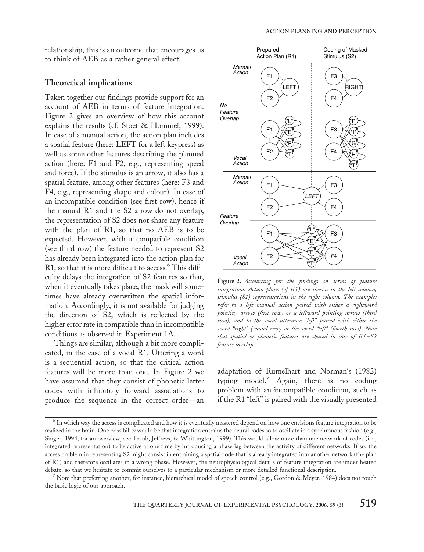relationship, this is an outcome that encourages us to think of AEB as a rather general effect.

#### Theoretical implications

Taken together our findings provide support for an account of AEB in terms of feature integration. Figure 2 gives an overview of how this account explains the results (cf. Stoet & Hommel, 1999). In case of a manual action, the action plan includes a spatial feature (here: LEFT for a left keypress) as well as some other features describing the planned action (here: F1 and F2, e.g., representing speed and force). If the stimulus is an arrow, it also has a spatial feature, among other features (here: F3 and F4, e.g., representing shape and colour). In case of an incompatible condition (see first row), hence if the manual R1 and the S2 arrow do not overlap, the representation of S2 does not share any feature with the plan of R1, so that no AEB is to be expected. However, with a compatible condition (see third row) the feature needed to represent S2 has already been integrated into the action plan for R1, so that it is more difficult to access.<sup>6</sup> This difficulty delays the integration of S2 features so that, when it eventually takes place, the mask will sometimes have already overwritten the spatial information. Accordingly, it is not available for judging the direction of S2, which is reflected by the higher error rate in compatible than in incompatible conditions as observed in Experiment 1A.

Things are similar, although a bit more complicated, in the case of a vocal R1. Uttering a word is a sequential action, so that the critical action features will be more than one. In Figure 2 we have assumed that they consist of phonetic letter codes with inhibitory forward associations to produce the sequence in the correct order—an



Figure 2. Accounting for the findings in terms of feature integration. Action plans (of R1) are shown in the left column, stimulus (S1) representations in the right column. The examples refer to a left manual action paired with either a rightward pointing arrow (first row) or a leftward pointing arrow (third row), and to the vocal utterance "left" paired with either the word "right" (second row) or the word "left" (fourth row). Note that spatial or phonetic features are shared in case of  $R1-S2$ feature overlap.

adaptation of Rumelhart and Norman's (1982) typing model.<sup>7</sup> Again, there is no coding problem with an incompatible condition, such as if the R1 "left" is paired with the visually presented

<sup>7</sup> Note that preferring another, for instance, hierarchical model of speech control (e.g., Gordon & Meyer, 1984) does not touch the basic logic of our approach.

<sup>6</sup> In which way the access is complicated and how it is eventually mastered depend on how one envisions feature integration to be realized in the brain. One possibility would be that integration entrains the neural codes so to oscillate in a synchronous fashion (e.g., Singer, 1994; for an overview, see Traub, Jeffreys, & Whittington, 1999). This would allow more than one network of codes (i.e., integrated representation) to be active at one time by introducing a phase lag between the activity of different networks. If so, the access problem in representing S2 might consist in entraining a spatial code that is already integrated into another network (the plan of R1) and therefore oscillates in a wrong phase. However, the neurophysiological details of feature integration are under heated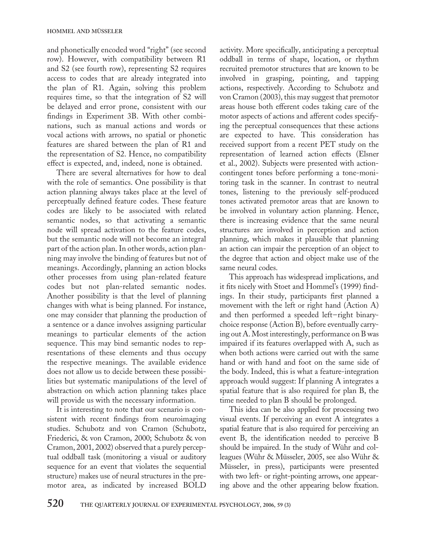and phonetically encoded word "right" (see second row). However, with compatibility between R1 and S2 (see fourth row), representing S2 requires access to codes that are already integrated into the plan of R1. Again, solving this problem requires time, so that the integration of S2 will be delayed and error prone, consistent with our findings in Experiment 3B. With other combinations, such as manual actions and words or vocal actions with arrows, no spatial or phonetic features are shared between the plan of R1 and the representation of S2. Hence, no compatibility effect is expected, and, indeed, none is obtained.

There are several alternatives for how to deal with the role of semantics. One possibility is that action planning always takes place at the level of perceptually defined feature codes. These feature codes are likely to be associated with related semantic nodes, so that activating a semantic node will spread activation to the feature codes, but the semantic node will not become an integral part of the action plan. In other words, action planning may involve the binding of features but not of meanings. Accordingly, planning an action blocks other processes from using plan-related feature codes but not plan-related semantic nodes. Another possibility is that the level of planning changes with what is being planned. For instance, one may consider that planning the production of a sentence or a dance involves assigning particular meanings to particular elements of the action sequence. This may bind semantic nodes to representations of these elements and thus occupy the respective meanings. The available evidence does not allow us to decide between these possibilities but systematic manipulations of the level of abstraction on which action planning takes place will provide us with the necessary information.

It is interesting to note that our scenario is consistent with recent findings from neuroimaging studies. Schubotz and von Cramon (Schubotz, Friederici, & von Cramon, 2000; Schubotz & von Cramon, 2001, 2002) observed that a purely perceptual oddball task (monitoring a visual or auditory sequence for an event that violates the sequential structure) makes use of neural structures in the premotor area, as indicated by increased BOLD

activity. More specifically, anticipating a perceptual oddball in terms of shape, location, or rhythm recruited premotor structures that are known to be involved in grasping, pointing, and tapping actions, respectively. According to Schubotz and von Cramon (2003), this may suggest that premotor areas house both efferent codes taking care of the motor aspects of actions and afferent codes specifying the perceptual consequences that these actions are expected to have. This consideration has received support from a recent PET study on the representation of learned action effects (Elsner et al., 2002). Subjects were presented with actioncontingent tones before performing a tone-monitoring task in the scanner. In contrast to neutral tones, listening to the previously self-produced tones activated premotor areas that are known to be involved in voluntary action planning. Hence, there is increasing evidence that the same neural structures are involved in perception and action planning, which makes it plausible that planning an action can impair the perception of an object to the degree that action and object make use of the same neural codes.

This approach has widespread implications, and it fits nicely with Stoet and Hommel's (1999) findings. In their study, participants first planned a movement with the left or right hand (Action A) and then performed a speeded left– right binarychoice response (Action B), before eventually carrying out A.Most interestingly, performance on B was impaired if its features overlapped with A, such as when both actions were carried out with the same hand or with hand and foot on the same side of the body. Indeed, this is what a feature-integration approach would suggest: If planning A integrates a spatial feature that is also required for plan B, the time needed to plan B should be prolonged.

This idea can be also applied for processing two visual events. If perceiving an event A integrates a spatial feature that is also required for perceiving an event B, the identification needed to perceive B should be impaired. In the study of Wühr and colleagues (Wühr & Müsseler, 2005, see also Wühr & Müsseler, in press), participants were presented with two left- or right-pointing arrows, one appearing above and the other appearing below fixation.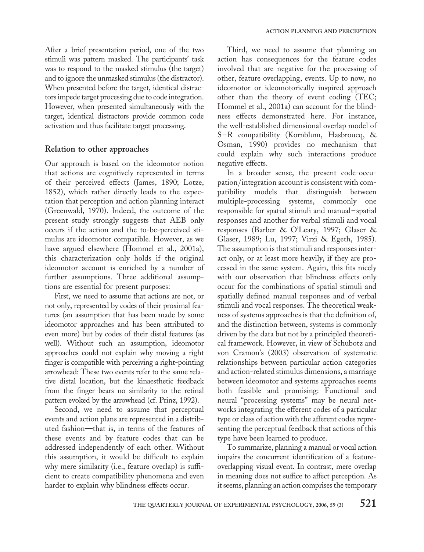After a brief presentation period, one of the two stimuli was pattern masked. The participants' task was to respond to the masked stimulus (the target) and to ignore the unmasked stimulus (the distractor). When presented before the target, identical distractors impede target processing due to code integration. However, when presented simultaneously with the target, identical distractors provide common code activation and thus facilitate target processing.

#### Relation to other approaches

Our approach is based on the ideomotor notion that actions are cognitively represented in terms of their perceived effects (James, 1890; Lotze, 1852), which rather directly leads to the expectation that perception and action planning interact (Greenwald, 1970). Indeed, the outcome of the present study strongly suggests that AEB only occurs if the action and the to-be-perceived stimulus are ideomotor compatible. However, as we have argued elsewhere (Hommel et al., 2001a), this characterization only holds if the original ideomotor account is enriched by a number of further assumptions. Three additional assumptions are essential for present purposes:

First, we need to assume that actions are not, or not only, represented by codes of their proximal features (an assumption that has been made by some ideomotor approaches and has been attributed to even more) but by codes of their distal features (as well). Without such an assumption, ideomotor approaches could not explain why moving a right finger is compatible with perceiving a right-pointing arrowhead: These two events refer to the same relative distal location, but the kinaesthetic feedback from the finger bears no similarity to the retinal pattern evoked by the arrowhead (cf. Prinz, 1992).

Second, we need to assume that perceptual events and action plans are represented in a distributed fashion—that is, in terms of the features of these events and by feature codes that can be addressed independently of each other. Without this assumption, it would be difficult to explain why mere similarity (i.e., feature overlap) is sufficient to create compatibility phenomena and even harder to explain why blindness effects occur.

Third, we need to assume that planning an action has consequences for the feature codes involved that are negative for the processing of other, feature overlapping, events. Up to now, no ideomotor or ideomotorically inspired approach other than the theory of event coding (TEC; Hommel et al., 2001a) can account for the blindness effects demonstrated here. For instance, the well-established dimensional overlap model of S –R compatibility (Kornblum, Hasbroucq, & Osman, 1990) provides no mechanism that could explain why such interactions produce negative effects.

In a broader sense, the present code-occupation/integration account is consistent with compatibility models that distinguish between multiple-processing systems, commonly one responsible for spatial stimuli and manual – spatial responses and another for verbal stimuli and vocal responses (Barber & O'Leary, 1997; Glaser & Glaser, 1989; Lu, 1997; Virzi & Egeth, 1985). The assumption is that stimuli and responses interact only, or at least more heavily, if they are processed in the same system. Again, this fits nicely with our observation that blindness effects only occur for the combinations of spatial stimuli and spatially defined manual responses and of verbal stimuli and vocal responses. The theoretical weakness of systems approaches is that the definition of, and the distinction between, systems is commonly driven by the data but not by a principled theoretical framework. However, in view of Schubotz and von Cramon's (2003) observation of systematic relationships between particular action categories and action-related stimulus dimensions, a marriage between ideomotor and systems approaches seems both feasible and promising: Functional and neural "processing systems" may be neural networks integrating the efferent codes of a particular type or class of action with the afferent codes representing the perceptual feedback that actions of this type have been learned to produce.

To summarize, planning a manual or vocal action impairs the concurrent identification of a featureoverlapping visual event. In contrast, mere overlap in meaning does not suffice to affect perception. As it seems, planning an action comprises the temporary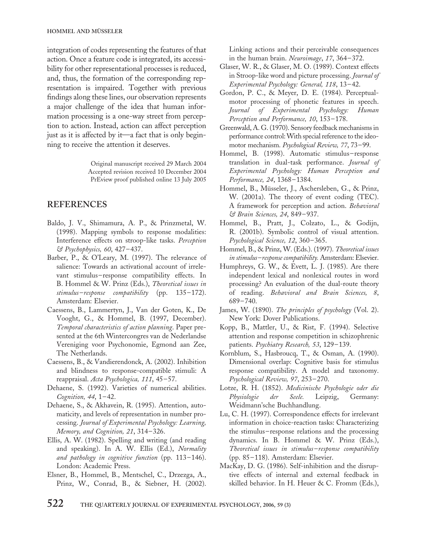integration of codes representing the features of that action. Once a feature code is integrated, its accessibility for other representational processes is reduced, and, thus, the formation of the corresponding representation is impaired. Together with previous findings along these lines, our observation represents a major challenge of the idea that human information processing is a one-way street from perception to action. Instead, action can affect perception just as it is affected by it—a fact that is only beginning to receive the attention it deserves.

> Original manuscript received 29 March 2004 Accepted revision received 10 December 2004 PrEview proof published online 13 July 2005

### **REFERENCES**

- Baldo, J. V., Shimamura, A. P., & Prinzmetal, W. (1998). Mapping symbols to response modalities: Interference effects on stroop-like tasks. Perception & Psychophysics, 60, 427– 437.
- Barber, P., & O'Leary, M. (1997). The relevance of salience: Towards an activational account of irrelevant stimulus – response compatibility effects. In B. Hommel & W. Prinz (Eds.), Theoretical issues in  $stimulus-response$  compatibility (pp.  $135-172$ ). Amsterdam: Elsevier.
- Caessens, B., Lammertyn, J., Van der Goten, K., De Vooght, G., & Hommel, B. (1997, December). Temporal characteristics of action planning. Paper presented at the 6th Wintercongres van de Nederlandse Vereniging voor Psychonomie, Egmond aan Zee, The Netherlands.
- Caessens, B., & Vandierendonck, A. (2002). Inhibition and blindness to response-compatible stimuli: A reappraisal. Acta Psychologica, 111, 45-57.
- Dehaene, S. (1992). Varieties of numerical abilities. Cognition,  $44, 1-42$ .
- Dehaene, S., & Akhavein, R. (1995). Attention, automaticity, and levels of representation in number processing. Journal of Experimental Psychology: Learning, Memory, and Cognition, 21, 314-326.
- Ellis, A. W. (1982). Spelling and writing (and reading and speaking). In A. W. Ellis (Ed.), Normality and pathology in cognitive function (pp.  $113-146$ ). London: Academic Press.
- Elsner, B., Hommel, B., Mentschel, C., Drzezga, A., Prinz, W., Conrad, B., & Siebner, H. (2002).

Linking actions and their perceivable consequences in the human brain. Neuroimage, 17, 364-372.

- Glaser, W. R., & Glaser, M. O. (1989). Context effects in Stroop-like word and picture processing. Journal of Experimental Psychology: General, 118, 13 –42.
- Gordon, P. C., & Meyer, D. E. (1984). Perceptualmotor processing of phonetic features in speech. Journal of Experimental Psychology: Human Perception and Performance, 10, 153-178.
- Greenwald, A. G. (1970). Sensory feedback mechanisms in performance control:With special reference to the ideomotor mechanism. Psychological Review, 77, 73–99.
- Hommel, B. (1998). Automatic stimulus-response translation in dual-task performance. Journal of Experimental Psychology: Human Perception and Performance, 24, 1368– 1384.
- Hommel, B., Müsseler, J., Aschersleben, G., & Prinz, W. (2001a). The theory of event coding (TEC). A framework for perception and action. Behavioral & Brain Sciences, 24, 849– 937.
- Hommel, B., Pratt, J., Colzato, L., & Godijn, R. (2001b). Symbolic control of visual attention. Psychological Science, 12, 360-365.
- Hommel, B., & Prinz, W. (Eds.). (1997). Theoretical issues in stimulus–response compatibility. Amsterdam: Elsevier.
- Humphreys, G. W., & Evett, L. J. (1985). Are there independent lexical and nonlexical routes in word processing? An evaluation of the dual-route theory of reading. Behavioral and Brain Sciences, 8, 689– 740.
- James, W. (1890). The principles of psychology (Vol. 2). New York: Dover Publications.
- Kopp, B., Mattler, U., & Rist, F. (1994). Selective attention and response competition in schizophrenic patients. Psychiatry Research, 53, 129-139.
- Kornblum, S., Hasbroucq, T., & Osman, A. (1990). Dimensional overlap: Cognitive basis for stimulus response compatibility. A model and taxonomy. Psychological Review, 97, 253-270.
- Lotze, R. H. (1852). Medicinische Psychologie oder die Physiologie der Seele. Leipzig, Germany: Weidmann'sche Buchhandlung.
- Lu, C. H. (1997). Correspondence effects for irrelevant information in choice-reaction tasks: Characterizing the stimulus – response relations and the processing dynamics. In B. Hommel & W. Prinz (Eds.), Theoretical issues in stimulus–response compatibility (pp. 85 – 118). Amsterdam: Elsevier.
- MacKay, D. G. (1986). Self-inhibition and the disruptive effects of internal and external feedback in skilled behavior. In H. Heuer & C. Fromm (Eds.),